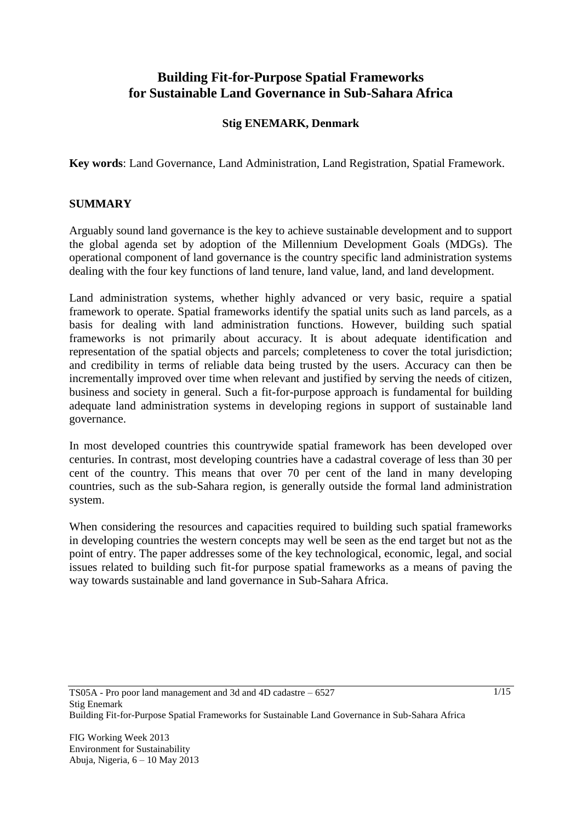# **Building Fit-for-Purpose Spatial Frameworks for Sustainable Land Governance in Sub-Sahara Africa**

#### **Stig ENEMARK, Denmark**

**Key words**: Land Governance, Land Administration, Land Registration, Spatial Framework.

#### **SUMMARY**

Arguably sound land governance is the key to achieve sustainable development and to support the global agenda set by adoption of the Millennium Development Goals (MDGs). The operational component of land governance is the country specific land administration systems dealing with the four key functions of land tenure, land value, land, and land development.

Land administration systems, whether highly advanced or very basic, require a spatial framework to operate. Spatial frameworks identify the spatial units such as land parcels, as a basis for dealing with land administration functions. However, building such spatial frameworks is not primarily about accuracy. It is about adequate identification and representation of the spatial objects and parcels; completeness to cover the total jurisdiction; and credibility in terms of reliable data being trusted by the users. Accuracy can then be incrementally improved over time when relevant and justified by serving the needs of citizen, business and society in general. Such a fit-for-purpose approach is fundamental for building adequate land administration systems in developing regions in support of sustainable land governance.

In most developed countries this countrywide spatial framework has been developed over centuries. In contrast, most developing countries have a cadastral coverage of less than 30 per cent of the country. This means that over 70 per cent of the land in many developing countries, such as the sub-Sahara region, is generally outside the formal land administration system.

When considering the resources and capacities required to building such spatial frameworks in developing countries the western concepts may well be seen as the end target but not as the point of entry. The paper addresses some of the key technological, economic, legal, and social issues related to building such fit-for purpose spatial frameworks as a means of paving the way towards sustainable and land governance in Sub-Sahara Africa.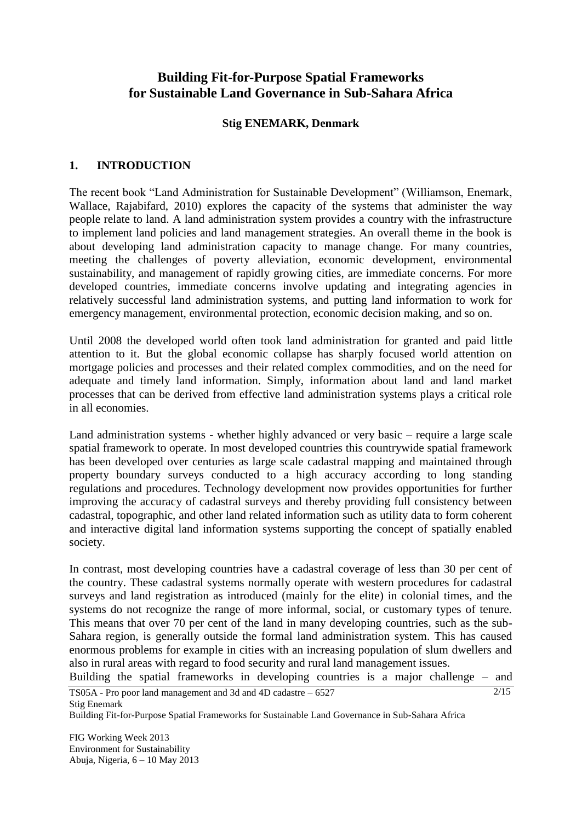# **Building Fit-for-Purpose Spatial Frameworks for Sustainable Land Governance in Sub-Sahara Africa**

#### **Stig ENEMARK, Denmark**

#### **1. INTRODUCTION**

The recent book "Land Administration for Sustainable Development" (Williamson, Enemark, Wallace, Rajabifard, 2010) explores the capacity of the systems that administer the way people relate to land. A land administration system provides a country with the infrastructure to implement land policies and land management strategies. An overall theme in the book is about developing land administration capacity to manage change. For many countries, meeting the challenges of poverty alleviation, economic development, environmental sustainability, and management of rapidly growing cities, are immediate concerns. For more developed countries, immediate concerns involve updating and integrating agencies in relatively successful land administration systems, and putting land information to work for emergency management, environmental protection, economic decision making, and so on.

Until 2008 the developed world often took land administration for granted and paid little attention to it. But the global economic collapse has sharply focused world attention on mortgage policies and processes and their related complex commodities, and on the need for adequate and timely land information. Simply, information about land and land market processes that can be derived from effective land administration systems plays a critical role in all economies.

Land administration systems - whether highly advanced or very basic – require a large scale spatial framework to operate. In most developed countries this countrywide spatial framework has been developed over centuries as large scale cadastral mapping and maintained through property boundary surveys conducted to a high accuracy according to long standing regulations and procedures. Technology development now provides opportunities for further improving the accuracy of cadastral surveys and thereby providing full consistency between cadastral, topographic, and other land related information such as utility data to form coherent and interactive digital land information systems supporting the concept of spatially enabled society.

In contrast, most developing countries have a cadastral coverage of less than 30 per cent of the country. These cadastral systems normally operate with western procedures for cadastral surveys and land registration as introduced (mainly for the elite) in colonial times, and the systems do not recognize the range of more informal, social, or customary types of tenure. This means that over 70 per cent of the land in many developing countries, such as the sub-Sahara region, is generally outside the formal land administration system. This has caused enormous problems for example in cities with an increasing population of slum dwellers and also in rural areas with regard to food security and rural land management issues.

TS05A - Pro poor land management and 3d and 4D cadastre – 6527  $2/15$ Building the spatial frameworks in developing countries is a major challenge – and

Stig Enemark

Building Fit-for-Purpose Spatial Frameworks for Sustainable Land Governance in Sub-Sahara Africa

FIG Working Week 2013 Environment for Sustainability Abuja, Nigeria, 6 – 10 May 2013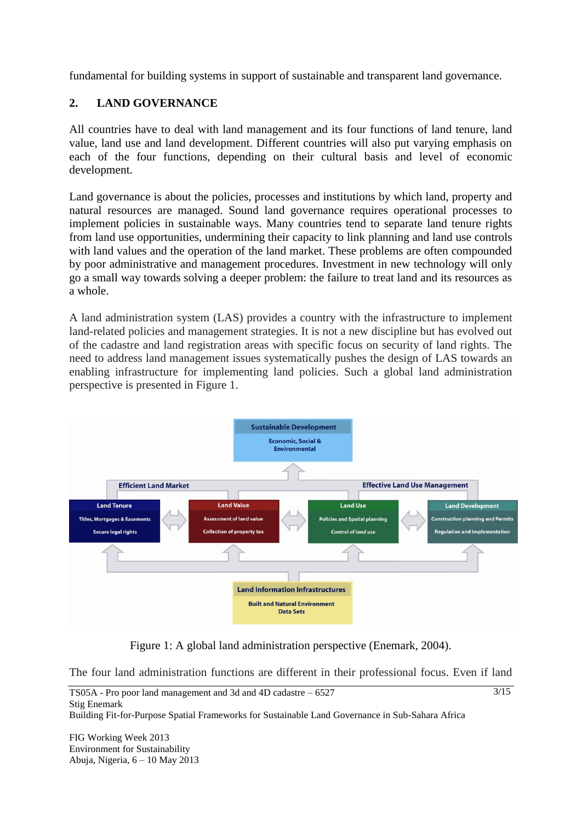fundamental for building systems in support of sustainable and transparent land governance.

# **2. LAND GOVERNANCE**

All countries have to deal with land management and its four functions of land tenure, land value, land use and land development. Different countries will also put varying emphasis on each of the four functions, depending on their cultural basis and level of economic development.

Land governance is about the policies, processes and institutions by which land, property and natural resources are managed. Sound land governance requires operational processes to implement policies in sustainable ways. Many countries tend to separate land tenure rights from land use opportunities, undermining their capacity to link planning and land use controls with land values and the operation of the land market. These problems are often compounded by poor administrative and management procedures. Investment in new technology will only go a small way towards solving a deeper problem: the failure to treat land and its resources as a whole.

A land administration system (LAS) provides a country with the infrastructure to implement land-related policies and management strategies. It is not a new discipline but has evolved out of the cadastre and land registration areas with specific focus on security of land rights. The need to address land management issues systematically pushes the design of LAS towards an enabling infrastructure for implementing land policies. Such a global land administration perspective is presented in Figure 1.



Figure 1: A global land administration perspective (Enemark, 2004).

The four land administration functions are different in their professional focus. Even if land

FIG Working Week 2013 Environment for Sustainability Abuja, Nigeria, 6 – 10 May 2013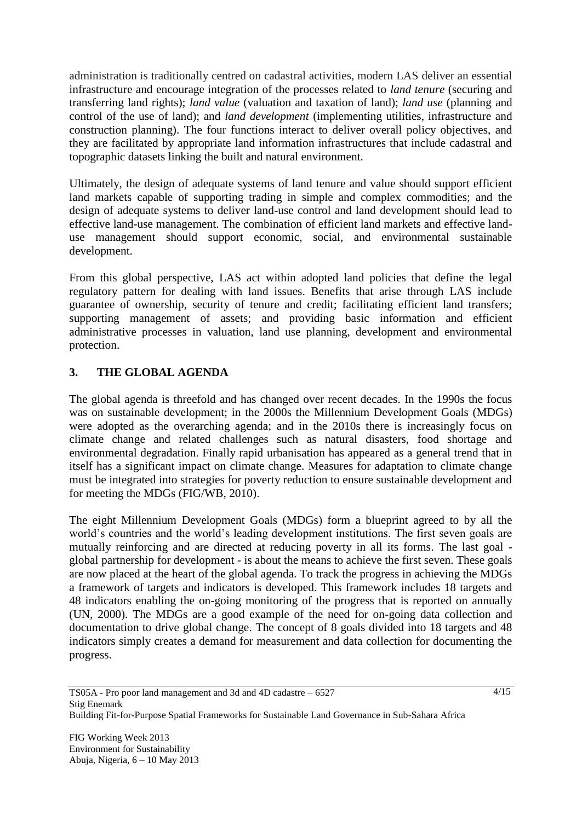administration is traditionally centred on cadastral activities, modern LAS deliver an essential infrastructure and encourage integration of the processes related to *land tenure* (securing and transferring land rights); *land value* (valuation and taxation of land); *land use* (planning and control of the use of land); and *land development* (implementing utilities, infrastructure and construction planning). The four functions interact to deliver overall policy objectives, and they are facilitated by appropriate land information infrastructures that include cadastral and topographic datasets linking the built and natural environment.

Ultimately, the design of adequate systems of land tenure and value should support efficient land markets capable of supporting trading in simple and complex commodities; and the design of adequate systems to deliver land-use control and land development should lead to effective land-use management. The combination of efficient land markets and effective landuse management should support economic, social, and environmental sustainable development.

From this global perspective, LAS act within adopted land policies that define the legal regulatory pattern for dealing with land issues. Benefits that arise through LAS include guarantee of ownership, security of tenure and credit; facilitating efficient land transfers; supporting management of assets; and providing basic information and efficient administrative processes in valuation, land use planning, development and environmental protection.

## **3. THE GLOBAL AGENDA**

The global agenda is threefold and has changed over recent decades. In the 1990s the focus was on sustainable development; in the 2000s the Millennium Development Goals (MDGs) were adopted as the overarching agenda; and in the 2010s there is increasingly focus on climate change and related challenges such as natural disasters, food shortage and environmental degradation. Finally rapid urbanisation has appeared as a general trend that in itself has a significant impact on climate change. Measures for adaptation to climate change must be integrated into strategies for poverty reduction to ensure sustainable development and for meeting the MDGs (FIG/WB, 2010).

The eight Millennium Development Goals (MDGs) form a blueprint agreed to by all the world"s countries and the world"s leading development institutions. The first seven goals are mutually reinforcing and are directed at reducing poverty in all its forms. The last goal global partnership for development - is about the means to achieve the first seven. These goals are now placed at the heart of the global agenda. To track the progress in achieving the MDGs a framework of targets and indicators is developed. This framework includes 18 targets and 48 indicators enabling the on-going monitoring of the progress that is reported on annually (UN, 2000). The MDGs are a good example of the need for on-going data collection and documentation to drive global change. The concept of 8 goals divided into 18 targets and 48 indicators simply creates a demand for measurement and data collection for documenting the progress.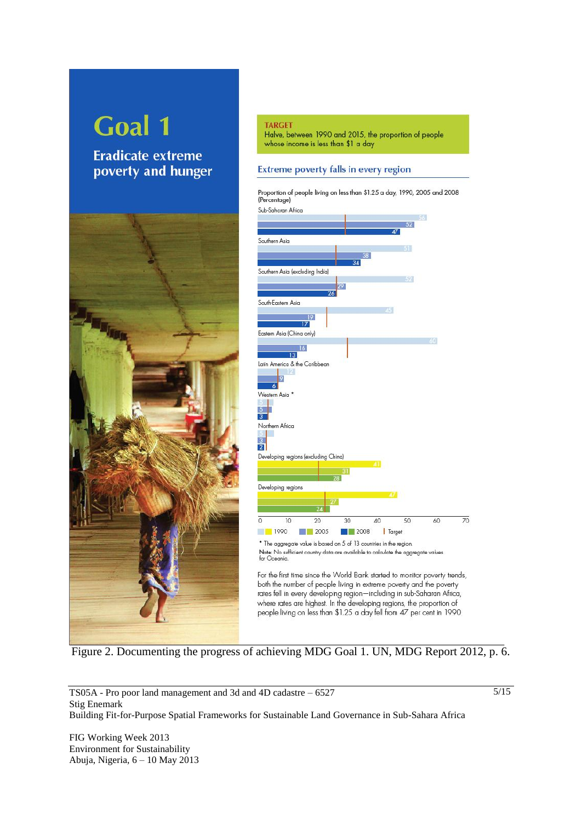# **Goal 1**

**Eradicate extreme** poverty and hunger



#### **TARGET** Halve, between 1990 and 2015, the proportion of people whose income is less than \$1 a day

#### Extreme poverty falls in every region



Note: No sufficient country data are available to calculate the aggregate values for Oceania.

For the first time since the World Bank started to monitor poverty trends, both the number of people living in extreme poverty and the poverty rates fell in every developing region-including in sub-Saharan Africa, where rates are highest. In the developing regions, the proportion of people living on less than \$1.25 a day fell from 47 per cent in 1990

Figure 2. Documenting the progress of achieving MDG Goal 1. UN, MDG Report 2012, p. 6.

TS05A - Pro poor land management and 3d and 4D cadastre – 6527 Stig Enemark Building Fit-for-Purpose Spatial Frameworks for Sustainable Land Governance in Sub-Sahara Africa

FIG Working Week 2013 Environment for Sustainability Abuja, Nigeria, 6 – 10 May 2013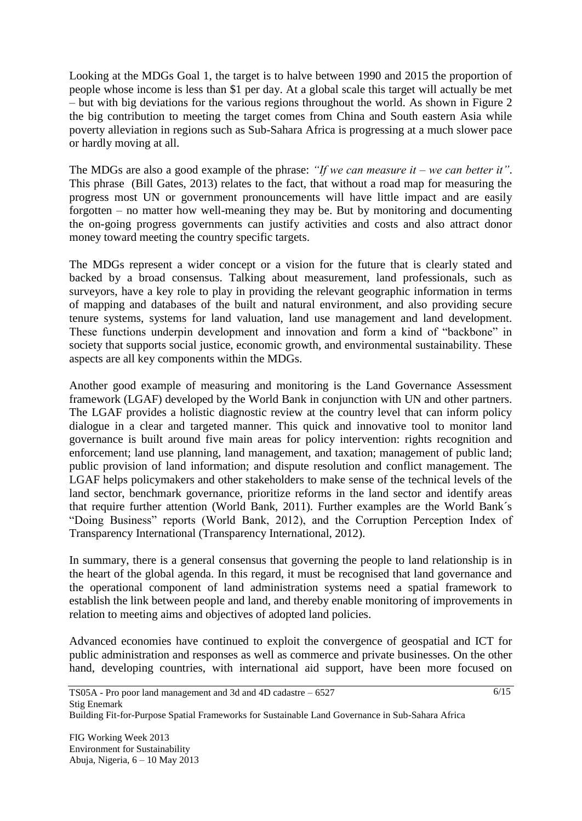Looking at the MDGs Goal 1, the target is to halve between 1990 and 2015 the proportion of people whose income is less than \$1 per day. At a global scale this target will actually be met – but with big deviations for the various regions throughout the world. As shown in Figure 2 the big contribution to meeting the target comes from China and South eastern Asia while poverty alleviation in regions such as Sub-Sahara Africa is progressing at a much slower pace or hardly moving at all.

The MDGs are also a good example of the phrase: *"If we can measure it – we can better it"*. This phrase (Bill Gates, 2013) relates to the fact, that without a road map for measuring the progress most UN or government pronouncements will have little impact and are easily forgotten – no matter how well-meaning they may be. But by monitoring and documenting the on-going progress governments can justify activities and costs and also attract donor money toward meeting the country specific targets.

The MDGs represent a wider concept or a vision for the future that is clearly stated and backed by a broad consensus. Talking about measurement, land professionals, such as surveyors, have a key role to play in providing the relevant geographic information in terms of mapping and databases of the built and natural environment, and also providing secure tenure systems, systems for land valuation, land use management and land development. These functions underpin development and innovation and form a kind of "backbone" in society that supports social justice, economic growth, and environmental sustainability. These aspects are all key components within the MDGs.

Another good example of measuring and monitoring is the Land Governance Assessment framework (LGAF) developed by the World Bank in conjunction with UN and other partners. The LGAF provides a holistic diagnostic review at the country level that can inform policy dialogue in a clear and targeted manner. This quick and innovative tool to monitor land governance is built around five main areas for policy intervention: rights recognition and enforcement; land use planning, land management, and taxation; management of public land; public provision of land information; and dispute resolution and conflict management. The LGAF helps policymakers and other stakeholders to make sense of the technical levels of the land sector, benchmark governance, prioritize reforms in the land sector and identify areas that require further attention (World Bank, 2011). Further examples are the World Bank´s "Doing Business" reports (World Bank, 2012), and the Corruption Perception Index of Transparency International (Transparency International, 2012).

In summary, there is a general consensus that governing the people to land relationship is in the heart of the global agenda. In this regard, it must be recognised that land governance and the operational component of land administration systems need a spatial framework to establish the link between people and land, and thereby enable monitoring of improvements in relation to meeting aims and objectives of adopted land policies.

Advanced economies have continued to exploit the convergence of geospatial and ICT for public administration and responses as well as commerce and private businesses. On the other hand, developing countries, with international aid support, have been more focused on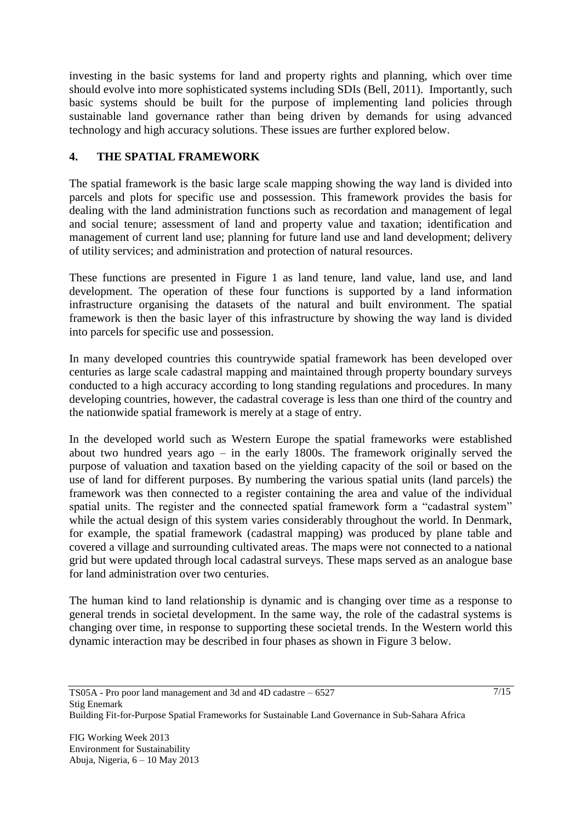investing in the basic systems for land and property rights and planning, which over time should evolve into more sophisticated systems including SDIs (Bell, 2011). Importantly, such basic systems should be built for the purpose of implementing land policies through sustainable land governance rather than being driven by demands for using advanced technology and high accuracy solutions. These issues are further explored below.

## **4. THE SPATIAL FRAMEWORK**

The spatial framework is the basic large scale mapping showing the way land is divided into parcels and plots for specific use and possession. This framework provides the basis for dealing with the land administration functions such as recordation and management of legal and social tenure; assessment of land and property value and taxation; identification and management of current land use; planning for future land use and land development; delivery of utility services; and administration and protection of natural resources.

These functions are presented in Figure 1 as land tenure, land value, land use, and land development. The operation of these four functions is supported by a land information infrastructure organising the datasets of the natural and built environment. The spatial framework is then the basic layer of this infrastructure by showing the way land is divided into parcels for specific use and possession.

In many developed countries this countrywide spatial framework has been developed over centuries as large scale cadastral mapping and maintained through property boundary surveys conducted to a high accuracy according to long standing regulations and procedures. In many developing countries, however, the cadastral coverage is less than one third of the country and the nationwide spatial framework is merely at a stage of entry.

In the developed world such as Western Europe the spatial frameworks were established about two hundred years ago – in the early 1800s. The framework originally served the purpose of valuation and taxation based on the yielding capacity of the soil or based on the use of land for different purposes. By numbering the various spatial units (land parcels) the framework was then connected to a register containing the area and value of the individual spatial units. The register and the connected spatial framework form a "cadastral system" while the actual design of this system varies considerably throughout the world. In Denmark, for example, the spatial framework (cadastral mapping) was produced by plane table and covered a village and surrounding cultivated areas. The maps were not connected to a national grid but were updated through local cadastral surveys. These maps served as an analogue base for land administration over two centuries.

The human kind to land relationship is dynamic and is changing over time as a response to general trends in societal development. In the same way, the role of the cadastral systems is changing over time, in response to supporting these societal trends. In the Western world this dynamic interaction may be described in four phases as shown in Figure 3 below.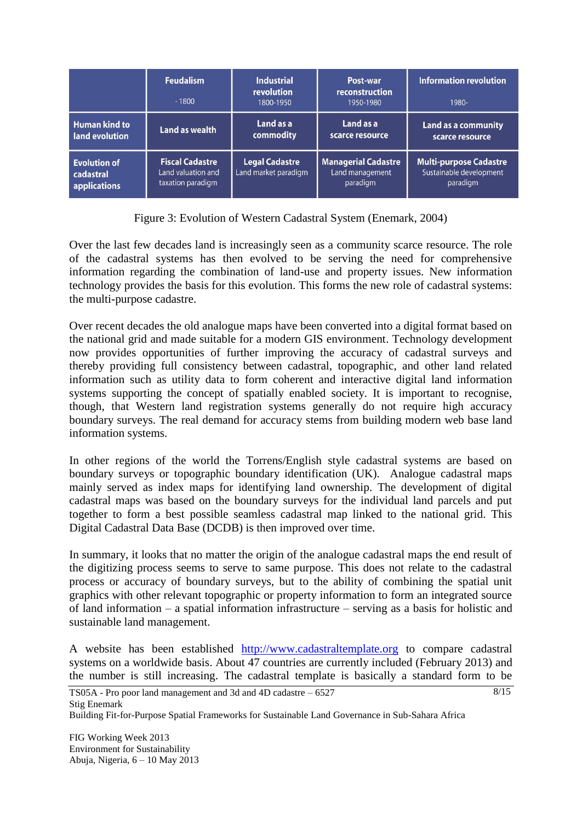|                                                  | <b>Feudalism</b><br>$-1800$                                       | <b>Industrial</b><br><b>revolution</b><br>1800-1950 | Post-war<br>reconstruction<br>1950-1980                   | <b>Information revolution</b><br>1980-                               |
|--------------------------------------------------|-------------------------------------------------------------------|-----------------------------------------------------|-----------------------------------------------------------|----------------------------------------------------------------------|
| <b>Human kind to</b><br>land evolution           | Land as wealth                                                    | Land as a<br>commodity                              | Land as a<br>scarce resource                              | <b>Land as a community</b><br>scarce resource                        |
| <b>Evolution of</b><br>cadastral<br>applications | <b>Fiscal Cadastre</b><br>Land valuation and<br>taxation paradigm | <b>Legal Cadastre</b><br>Land market paradigm       | <b>Managerial Cadastre</b><br>Land management<br>paradigm | <b>Multi-purpose Cadastre</b><br>Sustainable development<br>paradigm |

Figure 3: Evolution of Western Cadastral System (Enemark, 2004)

Over the last few decades land is increasingly seen as a community scarce resource. The role of the cadastral systems has then evolved to be serving the need for comprehensive information regarding the combination of land-use and property issues. New information technology provides the basis for this evolution. This forms the new role of cadastral systems: the multi-purpose cadastre.

Over recent decades the old analogue maps have been converted into a digital format based on the national grid and made suitable for a modern GIS environment. Technology development now provides opportunities of further improving the accuracy of cadastral surveys and thereby providing full consistency between cadastral, topographic, and other land related information such as utility data to form coherent and interactive digital land information systems supporting the concept of spatially enabled society. It is important to recognise, though, that Western land registration systems generally do not require high accuracy boundary surveys. The real demand for accuracy stems from building modern web base land information systems.

In other regions of the world the Torrens/English style cadastral systems are based on boundary surveys or topographic boundary identification (UK). Analogue cadastral maps mainly served as index maps for identifying land ownership. The development of digital cadastral maps was based on the boundary surveys for the individual land parcels and put together to form a best possible seamless cadastral map linked to the national grid. This Digital Cadastral Data Base (DCDB) is then improved over time.

In summary, it looks that no matter the origin of the analogue cadastral maps the end result of the digitizing process seems to serve to same purpose. This does not relate to the cadastral process or accuracy of boundary surveys, but to the ability of combining the spatial unit graphics with other relevant topographic or property information to form an integrated source of land information – a spatial information infrastructure – serving as a basis for holistic and sustainable land management.

A website has been established [http://www.cadastraltemplate.org](http://www.cadastraltemplate.org/) to compare cadastral systems on a worldwide basis. About 47 countries are currently included (February 2013) and the number is still increasing. The cadastral template is basically a standard form to be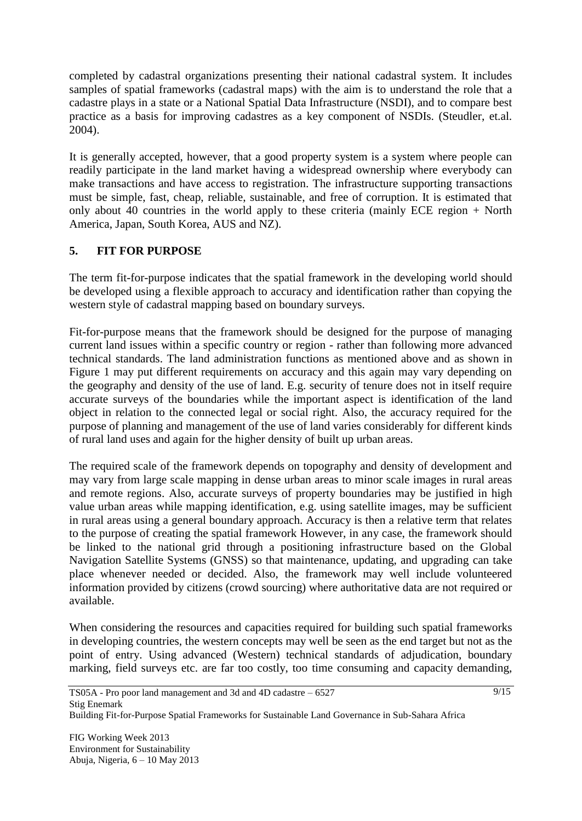completed by cadastral organizations presenting their national cadastral system. It includes samples of spatial frameworks (cadastral maps) with the aim is to understand the role that a cadastre plays in a state or a National Spatial Data Infrastructure (NSDI), and to compare best practice as a basis for improving cadastres as a key component of NSDIs. (Steudler, et.al. 2004).

It is generally accepted, however, that a good property system is a system where people can readily participate in the land market having a widespread ownership where everybody can make transactions and have access to registration. The infrastructure supporting transactions must be simple, fast, cheap, reliable, sustainable, and free of corruption. It is estimated that only about  $\overline{40}$  countries in the world apply to these criteria (mainly ECE region + North America, Japan, South Korea, AUS and NZ).

## **5. FIT FOR PURPOSE**

The term fit-for-purpose indicates that the spatial framework in the developing world should be developed using a flexible approach to accuracy and identification rather than copying the western style of cadastral mapping based on boundary surveys.

Fit-for-purpose means that the framework should be designed for the purpose of managing current land issues within a specific country or region - rather than following more advanced technical standards. The land administration functions as mentioned above and as shown in Figure 1 may put different requirements on accuracy and this again may vary depending on the geography and density of the use of land. E.g. security of tenure does not in itself require accurate surveys of the boundaries while the important aspect is identification of the land object in relation to the connected legal or social right. Also, the accuracy required for the purpose of planning and management of the use of land varies considerably for different kinds of rural land uses and again for the higher density of built up urban areas.

The required scale of the framework depends on topography and density of development and may vary from large scale mapping in dense urban areas to minor scale images in rural areas and remote regions. Also, accurate surveys of property boundaries may be justified in high value urban areas while mapping identification, e.g. using satellite images, may be sufficient in rural areas using a general boundary approach. Accuracy is then a relative term that relates to the purpose of creating the spatial framework However, in any case, the framework should be linked to the national grid through a positioning infrastructure based on the Global Navigation Satellite Systems (GNSS) so that maintenance, updating, and upgrading can take place whenever needed or decided. Also, the framework may well include volunteered information provided by citizens (crowd sourcing) where authoritative data are not required or available.

When considering the resources and capacities required for building such spatial frameworks in developing countries, the western concepts may well be seen as the end target but not as the point of entry. Using advanced (Western) technical standards of adjudication, boundary marking, field surveys etc. are far too costly, too time consuming and capacity demanding,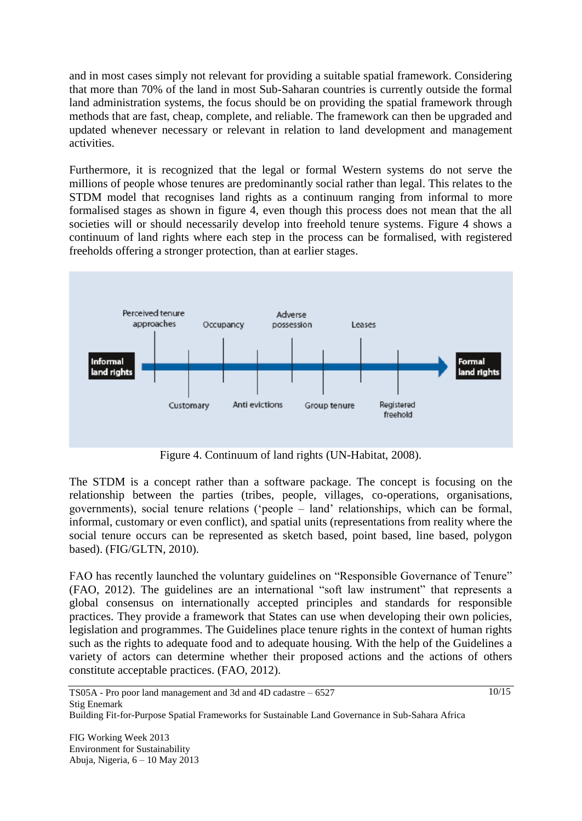and in most cases simply not relevant for providing a suitable spatial framework. Considering that more than 70% of the land in most Sub-Saharan countries is currently outside the formal land administration systems, the focus should be on providing the spatial framework through methods that are fast, cheap, complete, and reliable. The framework can then be upgraded and updated whenever necessary or relevant in relation to land development and management activities.

Furthermore, it is recognized that the legal or formal Western systems do not serve the millions of people whose tenures are predominantly social rather than legal. This relates to the STDM model that recognises land rights as a continuum ranging from informal to more formalised stages as shown in figure 4, even though this process does not mean that the all societies will or should necessarily develop into freehold tenure systems. Figure 4 shows a continuum of land rights where each step in the process can be formalised, with registered freeholds offering a stronger protection, than at earlier stages.



Figure 4. Continuum of land rights (UN-Habitat, 2008).

The STDM is a concept rather than a software package. The concept is focusing on the relationship between the parties (tribes, people, villages, co-operations, organisations, governments), social tenure relations ("people – land" relationships, which can be formal, informal, customary or even conflict), and spatial units (representations from reality where the social tenure occurs can be represented as sketch based, point based, line based, polygon based). (FIG/GLTN, 2010).

FAO has recently launched the voluntary guidelines on "Responsible Governance of Tenure" (FAO, 2012). The guidelines are an international "soft law instrument" that represents a global consensus on internationally accepted principles and standards for responsible practices. They provide a framework that States can use when developing their own policies, legislation and programmes. The Guidelines place tenure rights in the context of human rights such as the rights to adequate food and to adequate housing. With the help of the Guidelines a variety of actors can determine whether their proposed actions and the actions of others constitute acceptable practices. (FAO, 2012).

 $10/15$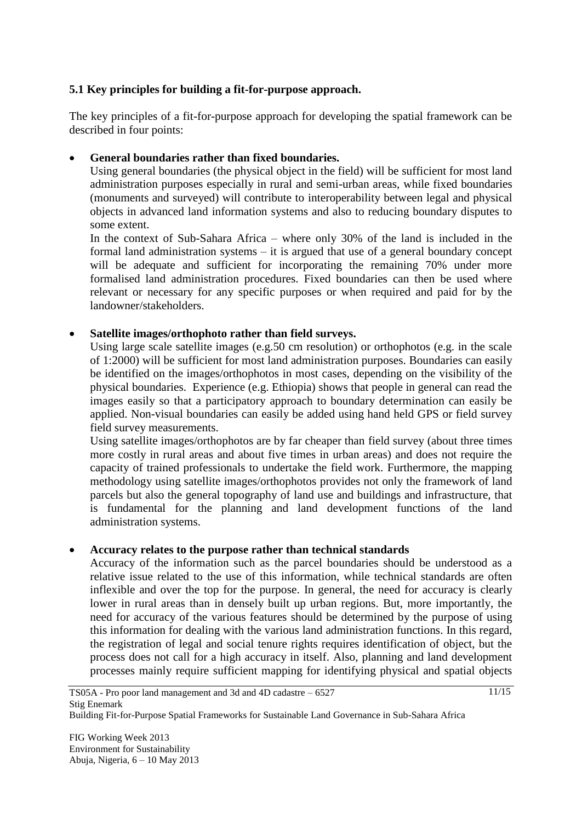#### **5.1 Key principles for building a fit-for-purpose approach.**

The key principles of a fit-for-purpose approach for developing the spatial framework can be described in four points:

#### **General boundaries rather than fixed boundaries.**

Using general boundaries (the physical object in the field) will be sufficient for most land administration purposes especially in rural and semi-urban areas, while fixed boundaries (monuments and surveyed) will contribute to interoperability between legal and physical objects in advanced land information systems and also to reducing boundary disputes to some extent.

In the context of Sub-Sahara Africa – where only 30% of the land is included in the formal land administration systems – it is argued that use of a general boundary concept will be adequate and sufficient for incorporating the remaining 70% under more formalised land administration procedures. Fixed boundaries can then be used where relevant or necessary for any specific purposes or when required and paid for by the landowner/stakeholders.

#### **Satellite images/orthophoto rather than field surveys.**

Using large scale satellite images (e.g.50 cm resolution) or orthophotos (e.g. in the scale of 1:2000) will be sufficient for most land administration purposes. Boundaries can easily be identified on the images/orthophotos in most cases, depending on the visibility of the physical boundaries. Experience (e.g. Ethiopia) shows that people in general can read the images easily so that a participatory approach to boundary determination can easily be applied. Non-visual boundaries can easily be added using hand held GPS or field survey field survey measurements.

Using satellite images/orthophotos are by far cheaper than field survey (about three times more costly in rural areas and about five times in urban areas) and does not require the capacity of trained professionals to undertake the field work. Furthermore, the mapping methodology using satellite images/orthophotos provides not only the framework of land parcels but also the general topography of land use and buildings and infrastructure, that is fundamental for the planning and land development functions of the land administration systems.

#### **Accuracy relates to the purpose rather than technical standards**

Accuracy of the information such as the parcel boundaries should be understood as a relative issue related to the use of this information, while technical standards are often inflexible and over the top for the purpose. In general, the need for accuracy is clearly lower in rural areas than in densely built up urban regions. But, more importantly, the need for accuracy of the various features should be determined by the purpose of using this information for dealing with the various land administration functions. In this regard, the registration of legal and social tenure rights requires identification of object, but the process does not call for a high accuracy in itself. Also, planning and land development processes mainly require sufficient mapping for identifying physical and spatial objects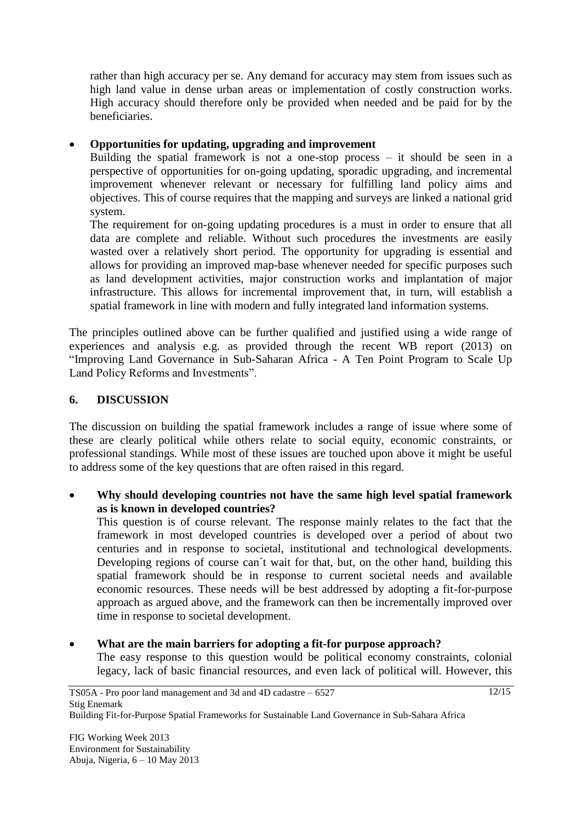rather than high accuracy per se. Any demand for accuracy may stem from issues such as high land value in dense urban areas or implementation of costly construction works. High accuracy should therefore only be provided when needed and be paid for by the beneficiaries.

#### **Opportunities for updating, upgrading and improvement**

Building the spatial framework is not a one-stop process – it should be seen in a perspective of opportunities for on-going updating, sporadic upgrading, and incremental improvement whenever relevant or necessary for fulfilling land policy aims and objectives. This of course requires that the mapping and surveys are linked a national grid system.

The requirement for on-going updating procedures is a must in order to ensure that all data are complete and reliable. Without such procedures the investments are easily wasted over a relatively short period. The opportunity for upgrading is essential and allows for providing an improved map-base whenever needed for specific purposes such as land development activities, major construction works and implantation of major infrastructure. This allows for incremental improvement that, in turn, will establish a spatial framework in line with modern and fully integrated land information systems.

The principles outlined above can be further qualified and justified using a wide range of experiences and analysis e.g. as provided through the recent WB report (2013) on "Improving Land Governance in Sub-Saharan Africa - A Ten Point Program to Scale Up Land Policy Reforms and Investments".

## **6. DISCUSSION**

The discussion on building the spatial framework includes a range of issue where some of these are clearly political while others relate to social equity, economic constraints, or professional standings. While most of these issues are touched upon above it might be useful to address some of the key questions that are often raised in this regard.

 **Why should developing countries not have the same high level spatial framework as is known in developed countries?**

This question is of course relevant. The response mainly relates to the fact that the framework in most developed countries is developed over a period of about two centuries and in response to societal, institutional and technological developments. Developing regions of course can't wait for that, but, on the other hand, building this spatial framework should be in response to current societal needs and available economic resources. These needs will be best addressed by adopting a fit-for-purpose approach as argued above, and the framework can then be incrementally improved over time in response to societal development.

 **What are the main barriers for adopting a fit-for purpose approach?** The easy response to this question would be political economy constraints, colonial legacy, lack of basic financial resources, and even lack of political will. However, this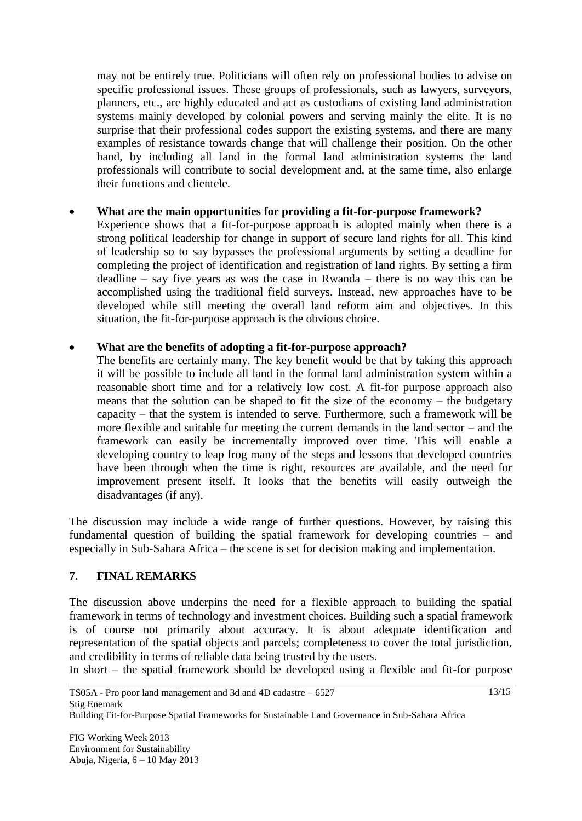may not be entirely true. Politicians will often rely on professional bodies to advise on specific professional issues. These groups of professionals, such as lawyers, surveyors, planners, etc., are highly educated and act as custodians of existing land administration systems mainly developed by colonial powers and serving mainly the elite. It is no surprise that their professional codes support the existing systems, and there are many examples of resistance towards change that will challenge their position. On the other hand, by including all land in the formal land administration systems the land professionals will contribute to social development and, at the same time, also enlarge their functions and clientele.

## **What are the main opportunities for providing a fit-for-purpose framework?**

Experience shows that a fit-for-purpose approach is adopted mainly when there is a strong political leadership for change in support of secure land rights for all. This kind of leadership so to say bypasses the professional arguments by setting a deadline for completing the project of identification and registration of land rights. By setting a firm deadline – say five years as was the case in Rwanda – there is no way this can be accomplished using the traditional field surveys. Instead, new approaches have to be developed while still meeting the overall land reform aim and objectives. In this situation, the fit-for-purpose approach is the obvious choice.

#### **What are the benefits of adopting a fit-for-purpose approach?**

The benefits are certainly many. The key benefit would be that by taking this approach it will be possible to include all land in the formal land administration system within a reasonable short time and for a relatively low cost. A fit-for purpose approach also means that the solution can be shaped to fit the size of the economy – the budgetary capacity – that the system is intended to serve. Furthermore, such a framework will be more flexible and suitable for meeting the current demands in the land sector – and the framework can easily be incrementally improved over time. This will enable a developing country to leap frog many of the steps and lessons that developed countries have been through when the time is right, resources are available, and the need for improvement present itself. It looks that the benefits will easily outweigh the disadvantages (if any).

The discussion may include a wide range of further questions. However, by raising this fundamental question of building the spatial framework for developing countries – and especially in Sub-Sahara Africa – the scene is set for decision making and implementation.

#### **7. FINAL REMARKS**

The discussion above underpins the need for a flexible approach to building the spatial framework in terms of technology and investment choices. Building such a spatial framework is of course not primarily about accuracy. It is about adequate identification and representation of the spatial objects and parcels; completeness to cover the total jurisdiction, and credibility in terms of reliable data being trusted by the users.

In short – the spatial framework should be developed using a flexible and fit-for purpose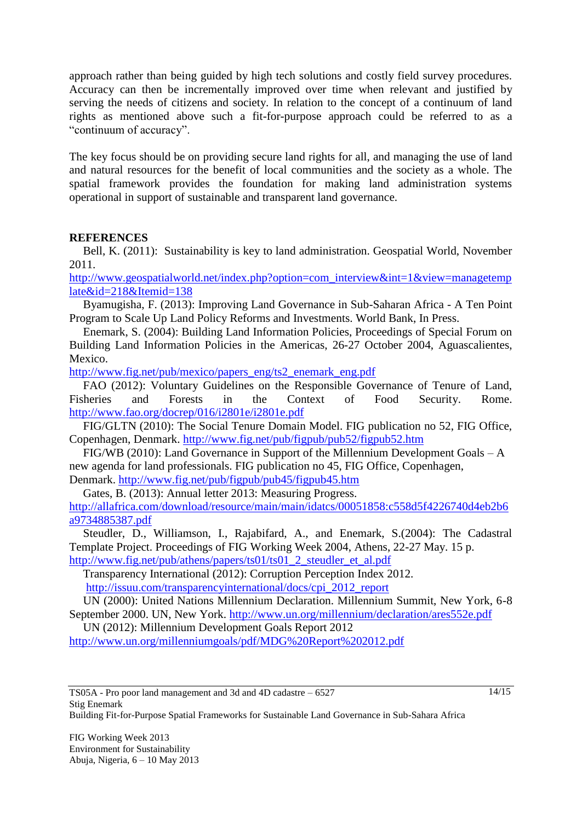approach rather than being guided by high tech solutions and costly field survey procedures. Accuracy can then be incrementally improved over time when relevant and justified by serving the needs of citizens and society. In relation to the concept of a continuum of land rights as mentioned above such a fit-for-purpose approach could be referred to as a "continuum of accuracy".

The key focus should be on providing secure land rights for all, and managing the use of land and natural resources for the benefit of local communities and the society as a whole. The spatial framework provides the foundation for making land administration systems operational in support of sustainable and transparent land governance.

#### **REFERENCES**

Bell, K. (2011): Sustainability is key to land administration. Geospatial World, November 2011.

[http://www.geospatialworld.net/index.php?option=com\\_interview&int=1&view=managetemp](http://www.geospatialworld.net/index.php?option=com_interview&int=1&view=managetemplate&id=218&Itemid=138) [late&id=218&Itemid=138](http://www.geospatialworld.net/index.php?option=com_interview&int=1&view=managetemplate&id=218&Itemid=138)

Byamugisha, F. (2013): Improving Land Governance in Sub-Saharan Africa - A Ten Point Program to Scale Up Land Policy Reforms and Investments. World Bank, In Press.

Enemark, S. (2004): Building Land Information Policies, Proceedings of Special Forum on Building Land Information Policies in the Americas, 26-27 October 2004, Aguascalientes, Mexico.

[http://www.fig.net/pub/mexico/papers\\_eng/ts2\\_enemark\\_eng.pdf](http://www.fig.net/pub/mexico/papers_eng/ts2_enemark_eng.pdf)

FAO (2012): Voluntary Guidelines on the Responsible Governance of Tenure of Land, Fisheries and Forests in the Context of Food Security. Rome. <http://www.fao.org/docrep/016/i2801e/i2801e.pdf>

FIG/GLTN (2010): The Social Tenure Domain Model. FIG publication no 52, FIG Office, Copenhagen, Denmark.<http://www.fig.net/pub/figpub/pub52/figpub52.htm>

FIG/WB (2010): Land Governance in Support of the Millennium Development Goals – A new agenda for land professionals. FIG publication no 45, FIG Office, Copenhagen, Denmark. <http://www.fig.net/pub/figpub/pub45/figpub45.htm>

Gates, B. (2013): Annual letter 2013: Measuring Progress.

[http://allafrica.com/download/resource/main/main/idatcs/00051858:c558d5f4226740d4eb2b6](http://allafrica.com/download/resource/main/main/idatcs/00051858:c558d5f4226740d4eb2b6a9734885387.pdf) [a9734885387.pdf](http://allafrica.com/download/resource/main/main/idatcs/00051858:c558d5f4226740d4eb2b6a9734885387.pdf)

Steudler, D., Williamson, I., Rajabifard, A., and Enemark, S.(2004): The Cadastral Template Project. Proceedings of FIG Working Week 2004, Athens, 22-27 May. 15 p. [http://www.fig.net/pub/athens/papers/ts01/ts01\\_2\\_steudler\\_et\\_al.pdf](http://www.fig.net/pub/athens/papers/ts01/ts01_2_steudler_et_al.pdf)

Transparency International (2012): Corruption Perception Index 2012. [http://issuu.com/transparencyinternational/docs/cpi\\_2012\\_report](http://issuu.com/transparencyinternational/docs/cpi_2012_report)

UN (2000): United Nations Millennium Declaration. Millennium Summit, New York, 6-8 September 2000. UN, New York.<http://www.un.org/millennium/declaration/ares552e.pdf>

UN (2012): Millennium Development Goals Report 2012

<http://www.un.org/millenniumgoals/pdf/MDG%20Report%202012.pdf>

Building Fit-for-Purpose Spatial Frameworks for Sustainable Land Governance in Sub-Sahara Africa